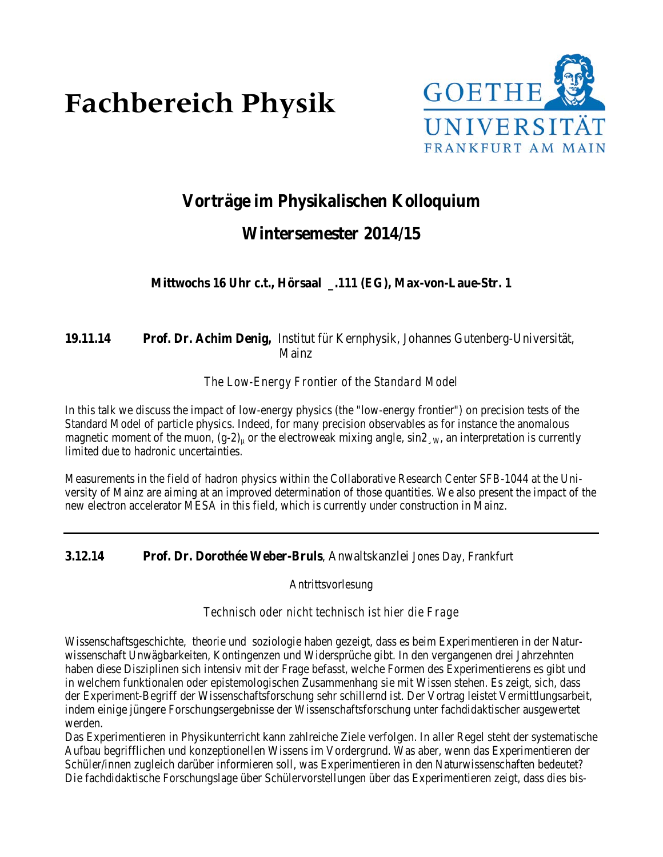# **Fachbereich Physik**



# **Vorträge im Physikalischen Kolloquium**

# **Wintersemester 2014/15**

**Mittwochs 16 Uhr c.t., Hörsaal \_.111 (EG), Max-von-Laue-Str. 1**

# **19.11.14 Prof. Dr. Achim Denig,** Institut für Kernphysik, Johannes Gutenberg-Universität, Mainz

### *The Low-Energy Frontier of the Standard Model*

In this talk we discuss the impact of low-energy physics (the "low-energy frontier") on precision tests of the Standard Model of particle physics. Indeed, for many precision observables as for instance the anomalous magnetic moment of the muon,  $(g-2)_\mu$  or the electroweak mixing angle,  $\sin 2$ , w, an interpretation is currently limited due to hadronic uncertainties.

Measurements in the field of hadron physics within the Collaborative Research Center SFB-1044 at the University of Mainz are aiming at an improved determination of those quantities. We also present the impact of the new electron accelerator MESA in this field, which is currently under construction in Mainz.

### **3.12.14 Prof. Dr. Dorothée Weber-Bruls**, Anwaltskanzlei Jones Day, Frankfurt

Antrittsvorlesung

#### *Technisch oder nicht technisch ist hier die Frage*

Wissenschaftsgeschichte, theorie und soziologie haben gezeigt, dass es beim Experimentieren in der Naturwissenschaft Unwägbarkeiten, Kontingenzen und Widersprüche gibt. In den vergangenen drei Jahrzehnten haben diese Disziplinen sich intensiv mit der Frage befasst, welche Formen des Experimentierens es gibt und in welchem funktionalen oder epistemologischen Zusammenhang sie mit Wissen stehen. Es zeigt, sich, dass der Experiment-Begriff der Wissenschaftsforschung sehr schillernd ist. Der Vortrag leistet Vermittlungsarbeit, indem einige jüngere Forschungsergebnisse der Wissenschaftsforschung unter fachdidaktischer ausgewertet werden.

Das Experimentieren in Physikunterricht kann zahlreiche Ziele verfolgen. In aller Regel steht der systematische Aufbau begrifflichen und konzeptionellen Wissens im Vordergrund. Was aber, wenn das Experimentieren der Schüler/innen zugleich darüber informieren soll, was Experimentieren in den Naturwissenschaften bedeutet? Die fachdidaktische Forschungslage über Schülervorstellungen über das Experimentieren zeigt, dass dies bis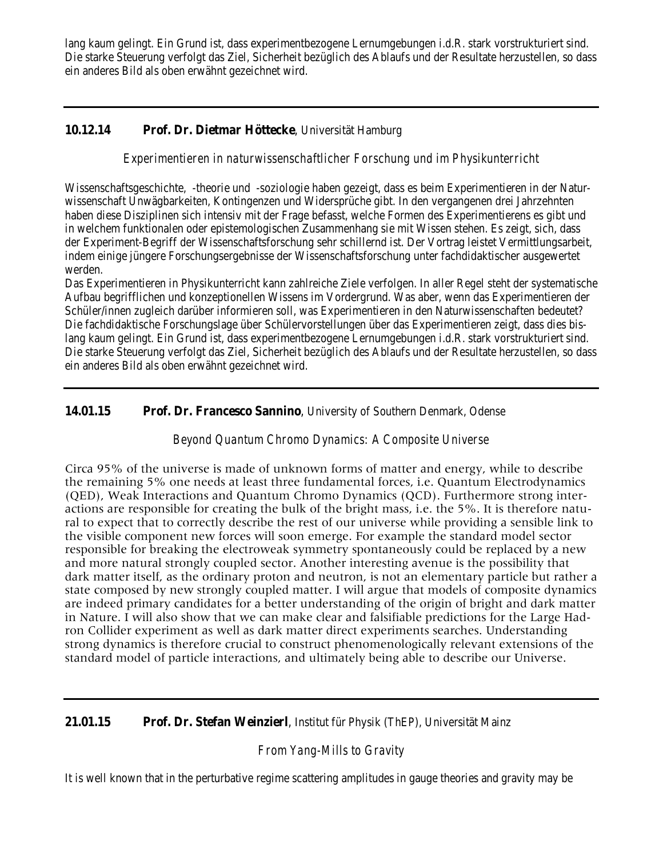lang kaum gelingt. Ein Grund ist, dass experimentbezogene Lernumgebungen i.d.R. stark vorstrukturiert sind. Die starke Steuerung verfolgt das Ziel, Sicherheit bezüglich des Ablaufs und der Resultate herzustellen, so dass ein anderes Bild als oben erwähnt gezeichnet wird.

## **10.12.14 Prof. Dr. Dietmar Höttecke**, Universität Hamburg

#### *Experimentieren in naturwissenschaftlicher Forschung und im Physikunterricht*

Wissenschaftsgeschichte, -theorie und -soziologie haben gezeigt, dass es beim Experimentieren in der Naturwissenschaft Unwägbarkeiten, Kontingenzen und Widersprüche gibt. In den vergangenen drei Jahrzehnten haben diese Disziplinen sich intensiv mit der Frage befasst, welche Formen des Experimentierens es gibt und in welchem funktionalen oder epistemologischen Zusammenhang sie mit Wissen stehen. Es zeigt, sich, dass der Experiment-Begriff der Wissenschaftsforschung sehr schillernd ist. Der Vortrag leistet Vermittlungsarbeit, indem einige jüngere Forschungsergebnisse der Wissenschaftsforschung unter fachdidaktischer ausgewertet werden.

Das Experimentieren in Physikunterricht kann zahlreiche Ziele verfolgen. In aller Regel steht der systematische Aufbau begrifflichen und konzeptionellen Wissens im Vordergrund. Was aber, wenn das Experimentieren der Schüler/innen zugleich darüber informieren soll, was Experimentieren in den Naturwissenschaften bedeutet? Die fachdidaktische Forschungslage über Schülervorstellungen über das Experimentieren zeigt, dass dies bislang kaum gelingt. Ein Grund ist, dass experimentbezogene Lernumgebungen i.d.R. stark vorstrukturiert sind. Die starke Steuerung verfolgt das Ziel, Sicherheit bezüglich des Ablaufs und der Resultate herzustellen, so dass ein anderes Bild als oben erwähnt gezeichnet wird.

#### **14.01.15 Prof. Dr. Francesco Sannino**, University of Southern Denmark, Odense

### *Beyond Quantum Chromo Dynamics: A Composite Universe*

Circa 95% of the universe is made of unknown forms of matter and energy, while to describe the remaining 5% one needs at least three fundamental forces, i.e. Quantum Electrodynamics (QED), Weak Interactions and Quantum Chromo Dynamics (QCD). Furthermore strong interactions are responsible for creating the bulk of the bright mass, i.e. the 5%. It is therefore natural to expect that to correctly describe the rest of our universe while providing a sensible link to the visible component new forces will soon emerge. For example the standard model sector responsible for breaking the electroweak symmetry spontaneously could be replaced by a new and more natural strongly coupled sector. Another interesting avenue is the possibility that dark matter itself, as the ordinary proton and neutron, is not an elementary particle but rather a state composed by new strongly coupled matter. I will argue that models of composite dynamics are indeed primary candidates for a better understanding of the origin of bright and dark matter in Nature. I will also show that we can make clear and falsifiable predictions for the Large Hadron Collider experiment as well as dark matter direct experiments searches. Understanding strong dynamics is therefore crucial to construct phenomenologically relevant extensions of the standard model of particle interactions, and ultimately being able to describe our Universe.

#### **21.01.15 Prof. Dr. Stefan Weinzierl**, Institut für Physik (ThEP), Universität Mainz

### *From Yang-Mills to Gravity*

It is well known that in the perturbative regime scattering amplitudes in gauge theories and gravity may be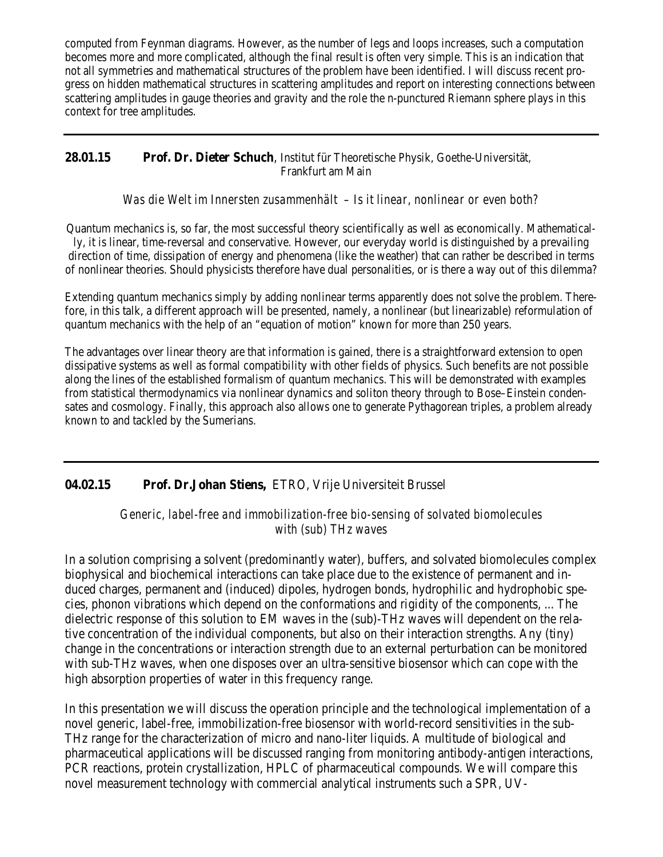computed from Feynman diagrams. However, as the number of legs and loops increases, such a computation becomes more and more complicated, although the final result is often very simple. This is an indication that not all symmetries and mathematical structures of the problem have been identified. I will discuss recent progress on hidden mathematical structures in scattering amplitudes and report on interesting connections between scattering amplitudes in gauge theories and gravity and the role the n-punctured Riemann sphere plays in this context for tree amplitudes.

#### **28.01.15 Prof. Dr. Dieter Schuch**, Institut für Theoretische Physik, Goethe-Universität, Frankfurt am Main

*Was die Welt im Innersten zusammenhält – Is it linear, nonlinear or even both?*

Quantum mechanics is, so far, the most successful theory scientifically as well as economically. Mathematically, it is linear, time-reversal and conservative. However, our everyday world is distinguished by a prevailing direction of time, dissipation of energy and phenomena (like the weather) that can rather be described in terms of nonlinear theories. Should physicists therefore have dual personalities, or is there a way out of this dilemma?

Extending quantum mechanics simply by adding nonlinear terms apparently does not solve the problem. Therefore, in this talk, a different approach will be presented, namely, a nonlinear (but linearizable) reformulation of quantum mechanics with the help of an "equation of motion" known for more than 250 years.

The advantages over linear theory are that information is gained, there is a straightforward extension to open dissipative systems as well as formal compatibility with other fields of physics. Such benefits are not possible along the lines of the established formalism of quantum mechanics. This will be demonstrated with examples from statistical thermodynamics via nonlinear dynamics and soliton theory through to Bose–Einstein condensates and cosmology. Finally, this approach also allows one to generate Pythagorean triples, a problem already known to and tackled by the Sumerians.

### **04.02.15 Prof. Dr.Johan Stiens,** ETRO, Vrije Universiteit Brussel

*Generic, label-free and immobilization-free bio-sensing of solvated biomolecules with (sub) THz waves*

In a solution comprising a solvent (predominantly water), buffers, and solvated biomolecules complex biophysical and biochemical interactions can take place due to the existence of permanent and induced charges, permanent and (induced) dipoles, hydrogen bonds, hydrophilic and hydrophobic species, phonon vibrations which depend on the conformations and rigidity of the components, ... The dielectric response of this solution to EM waves in the (sub)-THz waves will dependent on the relative concentration of the individual components, but also on their interaction strengths. Any (tiny) change in the concentrations or interaction strength due to an external perturbation can be monitored with sub-THz waves, when one disposes over an ultra-sensitive biosensor which can cope with the high absorption properties of water in this frequency range.

In this presentation we will discuss the operation principle and the technological implementation of a novel generic, label-free, immobilization-free biosensor with world-record sensitivities in the sub-THz range for the characterization of micro and nano-liter liquids. A multitude of biological and pharmaceutical applications will be discussed ranging from monitoring antibody-antigen interactions, PCR reactions, protein crystallization, HPLC of pharmaceutical compounds. We will compare this novel measurement technology with commercial analytical instruments such a SPR, UV-